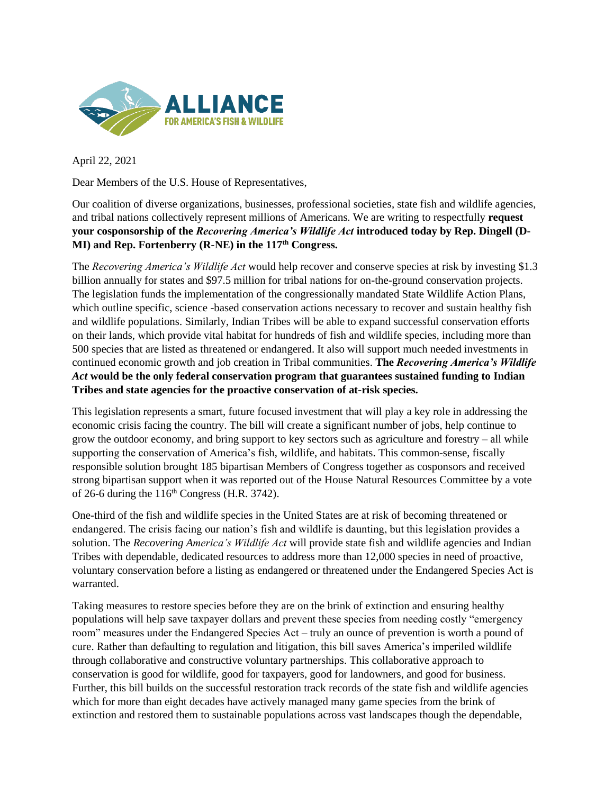

April 22, 2021

Dear Members of the U.S. House of Representatives,

Our coalition of diverse organizations, businesses, professional societies, state fish and wildlife agencies, and tribal nations collectively represent millions of Americans. We are writing to respectfully **request your cosponsorship of the** *Recovering America's Wildlife Act* **introduced today by Rep. Dingell (D-MI) and Rep. Fortenberry (R-NE) in the 117th Congress.**

The *Recovering America's Wildlife Act* would help recover and conserve species at risk by investing \$1.3 billion annually for states and \$97.5 million for tribal nations for on-the-ground conservation projects. The legislation funds the implementation of the congressionally mandated State Wildlife Action Plans, which outline specific, science -based conservation actions necessary to recover and sustain healthy fish and wildlife populations. Similarly, Indian Tribes will be able to expand successful conservation efforts on their lands, which provide vital habitat for hundreds of fish and wildlife species, including more than 500 species that are listed as threatened or endangered. It also will support much needed investments in continued economic growth and job creation in Tribal communities. **The** *Recovering America's Wildlife Act* **would be the only federal conservation program that guarantees sustained funding to Indian Tribes and state agencies for the proactive conservation of at-risk species.**

This legislation represents a smart, future focused investment that will play a key role in addressing the economic crisis facing the country. The bill will create a significant number of jobs, help continue to grow the outdoor economy, and bring support to key sectors such as agriculture and forestry – all while supporting the conservation of America's fish, wildlife, and habitats. This common-sense, fiscally responsible solution brought 185 bipartisan Members of Congress together as cosponsors and received strong bipartisan support when it was reported out of the House Natural Resources Committee by a vote of 26-6 during the  $116<sup>th</sup>$  Congress (H.R. 3742).

One-third of the fish and wildlife species in the United States are at risk of becoming threatened or endangered. The crisis facing our nation's fish and wildlife is daunting, but this legislation provides a solution. The *Recovering America's Wildlife Act* will provide state fish and wildlife agencies and Indian Tribes with dependable, dedicated resources to address more than 12,000 species in need of proactive, voluntary conservation before a listing as endangered or threatened under the Endangered Species Act is warranted.

Taking measures to restore species before they are on the brink of extinction and ensuring healthy populations will help save taxpayer dollars and prevent these species from needing costly "emergency room" measures under the Endangered Species Act – truly an ounce of prevention is worth a pound of cure. Rather than defaulting to regulation and litigation, this bill saves America's imperiled wildlife through collaborative and constructive voluntary partnerships. This collaborative approach to conservation is good for wildlife, good for taxpayers, good for landowners, and good for business. Further, this bill builds on the successful restoration track records of the state fish and wildlife agencies which for more than eight decades have actively managed many game species from the brink of extinction and restored them to sustainable populations across vast landscapes though the dependable,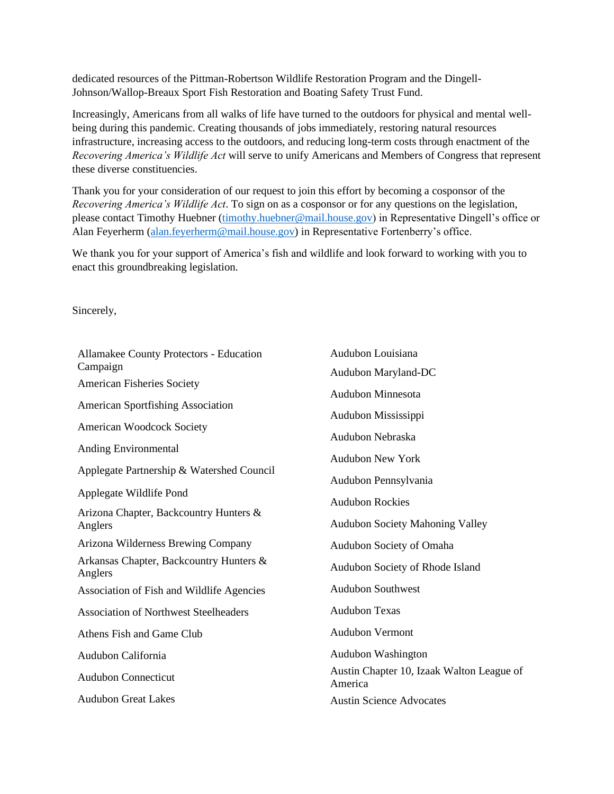dedicated resources of the Pittman-Robertson Wildlife Restoration Program and the Dingell-Johnson/Wallop-Breaux Sport Fish Restoration and Boating Safety Trust Fund.

Increasingly, Americans from all walks of life have turned to the outdoors for physical and mental wellbeing during this pandemic. Creating thousands of jobs immediately, restoring natural resources infrastructure, increasing access to the outdoors, and reducing long-term costs through enactment of the *Recovering America's Wildlife Act* will serve to unify Americans and Members of Congress that represent these diverse constituencies.

Thank you for your consideration of our request to join this effort by becoming a cosponsor of the *Recovering America's Wildlife Act*. To sign on as a cosponsor or for any questions on the legislation, please contact Timothy Huebner [\(timothy.huebner@mail.house.gov\)](file:///C:/Users/Caroline/Downloads/timothy.huebner@mail.house.gov) in Representative Dingell's office or Alan Feyerherm [\(alan.feyerherm@mail.house.gov\)](file:///C:/Users/Caroline/Downloads/alan.feyerherm@mail.house.gov) in Representative Fortenberry's office.

We thank you for your support of America's fish and wildlife and look forward to working with you to enact this groundbreaking legislation.

Sincerely,

| Allamakee County Protectors - Education            | Audubon Louisiana                                    |
|----------------------------------------------------|------------------------------------------------------|
| Campaign                                           | Audubon Maryland-DC                                  |
| <b>American Fisheries Society</b>                  | Audubon Minnesota                                    |
| <b>American Sportfishing Association</b>           | Audubon Mississippi                                  |
| <b>American Woodcock Society</b>                   | Audubon Nebraska                                     |
| Anding Environmental                               |                                                      |
| Applegate Partnership & Watershed Council          | <b>Audubon New York</b>                              |
|                                                    | Audubon Pennsylvania                                 |
| Applegate Wildlife Pond                            | <b>Audubon Rockies</b>                               |
| Arizona Chapter, Backcountry Hunters &             |                                                      |
| Anglers                                            | <b>Audubon Society Mahoning Valley</b>               |
| Arizona Wilderness Brewing Company                 | Audubon Society of Omaha                             |
| Arkansas Chapter, Backcountry Hunters &<br>Anglers | Audubon Society of Rhode Island                      |
| Association of Fish and Wildlife Agencies          | <b>Audubon Southwest</b>                             |
| <b>Association of Northwest Steelheaders</b>       | <b>Audubon Texas</b>                                 |
| Athens Fish and Game Club                          | <b>Audubon Vermont</b>                               |
| Audubon California                                 | Audubon Washington                                   |
| <b>Audubon Connecticut</b>                         | Austin Chapter 10, Izaak Walton League of<br>America |
| <b>Audubon Great Lakes</b>                         | <b>Austin Science Advocates</b>                      |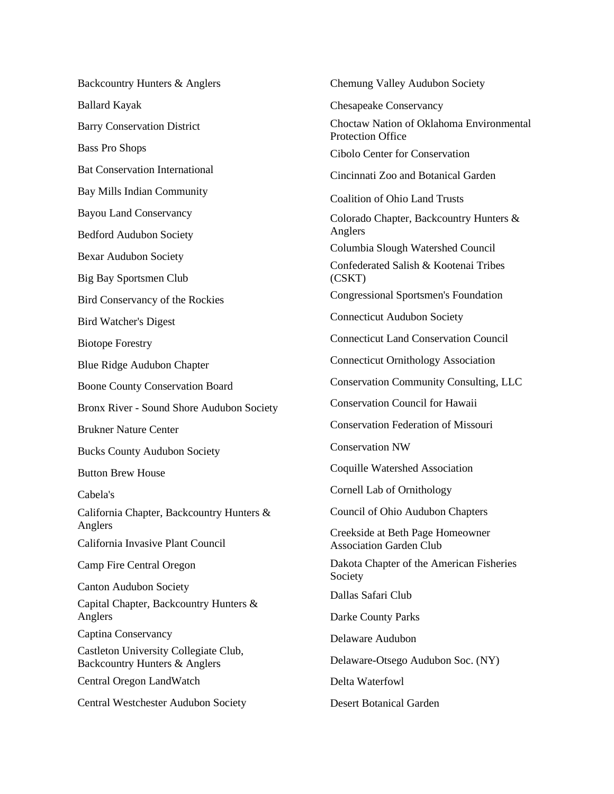Backcountry Hunters & Anglers Ballard Kayak Barry Conservation District Bass Pro Shops Bat Conservation International Bay Mills Indian Community Bayou Land Conservancy Bedford Audubon Society Bexar Audubon Society Big Bay Sportsmen Club Bird Conservancy of the Rockies Bird Watcher's Digest Biotope Forestry Blue Ridge Audubon Chapter Boone County Conservation Board Bronx River - Sound Shore Audubon Society Brukner Nature Center Bucks County Audubon Society Button Brew House Cabela's California Chapter, Backcountry Hunters & Anglers California Invasive Plant Council Camp Fire Central Oregon Canton Audubon Society Capital Chapter, Backcountry Hunters & Anglers Captina Conservancy Castleton University Collegiate Club, Backcountry Hunters & Anglers Central Oregon LandWatch Central Westchester Audubon Society

Chemung Valley Audubon Society Chesapeake Conservancy Choctaw Nation of Oklahoma Environmental Protection Office Cibolo Center for Conservation Cincinnati Zoo and Botanical Garden Coalition of Ohio Land Trusts Colorado Chapter, Backcountry Hunters & Anglers Columbia Slough Watershed Council Confederated Salish & Kootenai Tribes (CSKT) Congressional Sportsmen's Foundation Connecticut Audubon Society Connecticut Land Conservation Council Connecticut Ornithology Association Conservation Community Consulting, LLC Conservation Council for Hawaii Conservation Federation of Missouri Conservation NW Coquille Watershed Association Cornell Lab of Ornithology Council of Ohio Audubon Chapters Creekside at Beth Page Homeowner Association Garden Club Dakota Chapter of the American Fisheries Society Dallas Safari Club Darke County Parks Delaware Audubon Delaware-Otsego Audubon Soc. (NY) Delta Waterfowl

Desert Botanical Garden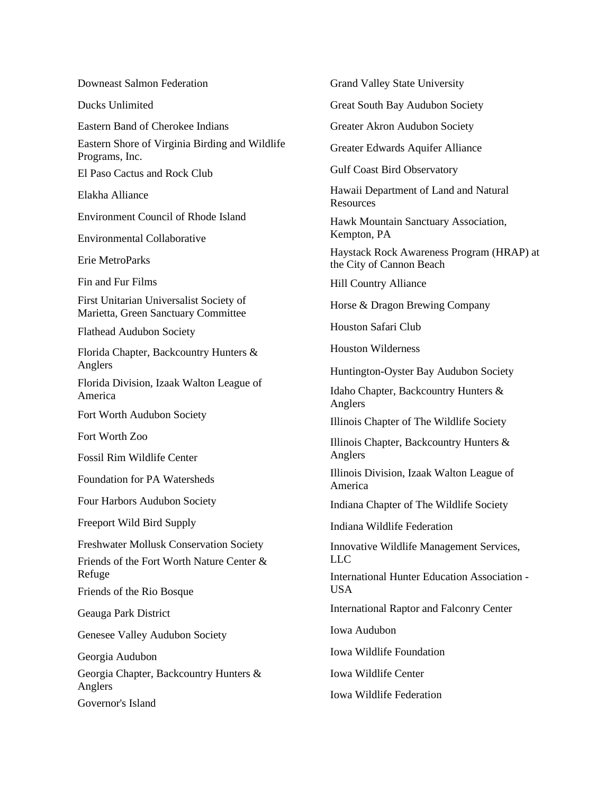Downeast Salmon Federation

Ducks Unlimited

Eastern Band of Cherokee Indians

Eastern Shore of Virginia Birding and Wildlife Programs, Inc.

El Paso Cactus and Rock Club

Elakha Alliance

Environment Council of Rhode Island

Environmental Collaborative

Erie MetroParks

Fin and Fur Films

First Unitarian Universalist Society of Marietta, Green Sanctuary Committee

Flathead Audubon Society

Florida Chapter, Backcountry Hunters & Anglers

Florida Division, Izaak Walton League of America

Fort Worth Audubon Society

Fort Worth Zoo

Fossil Rim Wildlife Center

Foundation for PA Watersheds

Four Harbors Audubon Society

Freeport Wild Bird Supply

Freshwater Mollusk Conservation Society

Friends of the Fort Worth Nature Center & Refuge

Friends of the Rio Bosque

Geauga Park District

Genesee Valley Audubon Society

Georgia Audubon

Georgia Chapter, Backcountry Hunters & Anglers Governor's Island

Grand Valley State University

Great South Bay Audubon Society

Greater Akron Audubon Society

Greater Edwards Aquifer Alliance

Gulf Coast Bird Observatory

Hawaii Department of Land and Natural **Resources** 

Hawk Mountain Sanctuary Association, Kempton, PA

Haystack Rock Awareness Program (HRAP) at the City of Cannon Beach

Hill Country Alliance

Horse & Dragon Brewing Company

Houston Safari Club

Houston Wilderness

Huntington-Oyster Bay Audubon Society

Idaho Chapter, Backcountry Hunters & Anglers

Illinois Chapter of The Wildlife Society

Illinois Chapter, Backcountry Hunters & Anglers

Illinois Division, Izaak Walton League of America

Indiana Chapter of The Wildlife Society

Indiana Wildlife Federation

Innovative Wildlife Management Services, LLC

International Hunter Education Association - USA

International Raptor and Falconry Center

Iowa Audubon

Iowa Wildlife Foundation

Iowa Wildlife Center

Iowa Wildlife Federation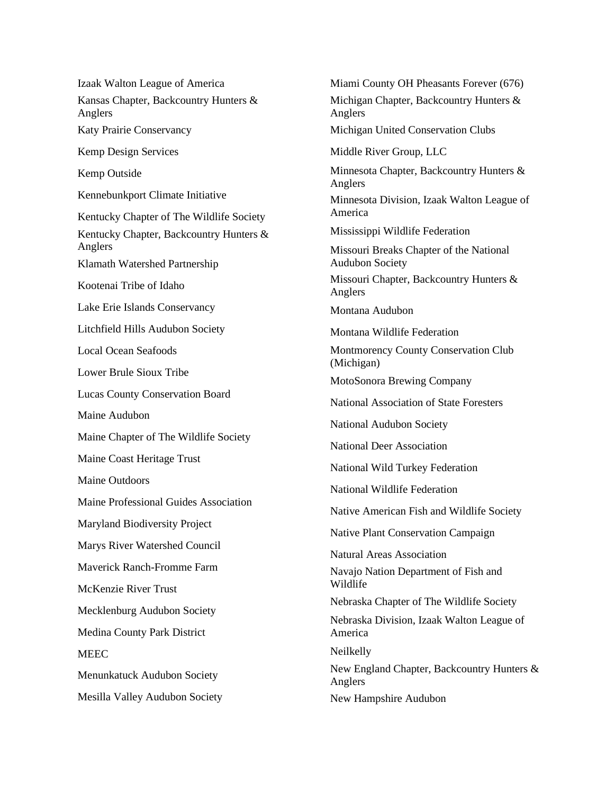Izaak Walton League of America Kansas Chapter, Backcountry Hunters & Anglers Katy Prairie Conservancy Kemp Design Services Kemp Outside Kennebunkport Climate Initiative Kentucky Chapter of The Wildlife Society Kentucky Chapter, Backcountry Hunters & Anglers Klamath Watershed Partnership Kootenai Tribe of Idaho Lake Erie Islands Conservancy Litchfield Hills Audubon Society Local Ocean Seafoods Lower Brule Sioux Tribe Lucas County Conservation Board Maine Audubon Maine Chapter of The Wildlife Society Maine Coast Heritage Trust Maine Outdoors Maine Professional Guides Association Maryland Biodiversity Project Marys River Watershed Council Maverick Ranch-Fromme Farm McKenzie River Trust Mecklenburg Audubon Society Medina County Park District **MEEC** Menunkatuck Audubon Society Mesilla Valley Audubon Society

Miami County OH Pheasants Forever (676) Michigan Chapter, Backcountry Hunters & Anglers Michigan United Conservation Clubs Middle River Group, LLC Minnesota Chapter, Backcountry Hunters & Anglers Minnesota Division, Izaak Walton League of America Mississippi Wildlife Federation Missouri Breaks Chapter of the National Audubon Society Missouri Chapter, Backcountry Hunters & Anglers Montana Audubon Montana Wildlife Federation Montmorency County Conservation Club (Michigan) MotoSonora Brewing Company National Association of State Foresters National Audubon Society National Deer Association National Wild Turkey Federation National Wildlife Federation Native American Fish and Wildlife Society Native Plant Conservation Campaign Natural Areas Association Navajo Nation Department of Fish and Wildlife Nebraska Chapter of The Wildlife Society Nebraska Division, Izaak Walton League of America Neilkelly New England Chapter, Backcountry Hunters & Anglers New Hampshire Audubon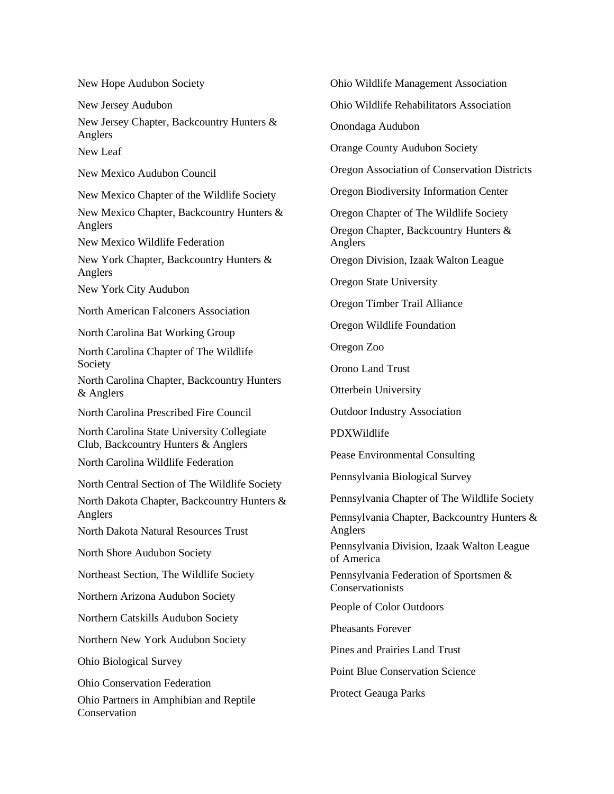New Hope Audubon Society

New Jersey Audubon

New Jersey Chapter, Backcountry Hunters & Anglers

New Leaf

New Mexico Audubon Council

New Mexico Chapter of the Wildlife Society

New Mexico Chapter, Backcountry Hunters & Anglers

New Mexico Wildlife Federation

New York Chapter, Backcountry Hunters & Anglers

New York City Audubon

North American Falconers Association

North Carolina Bat Working Group

North Carolina Chapter of The Wildlife Society

North Carolina Chapter, Backcountry Hunters & Anglers

North Carolina Prescribed Fire Council

North Carolina State University Collegiate Club, Backcountry Hunters & Anglers

North Carolina Wildlife Federation

North Central Section of The Wildlife Society

North Dakota Chapter, Backcountry Hunters & Anglers

North Dakota Natural Resources Trust

North Shore Audubon Society

Northeast Section, The Wildlife Society

Northern Arizona Audubon Society

Northern Catskills Audubon Society

Northern New York Audubon Society

Ohio Biological Survey

Ohio Conservation Federation

Ohio Partners in Amphibian and Reptile **Conservation** 

Ohio Wildlife Management Association

Ohio Wildlife Rehabilitators Association

Onondaga Audubon

Orange County Audubon Society

Oregon Association of Conservation Districts

Oregon Biodiversity Information Center

Oregon Chapter of The Wildlife Society

Oregon Chapter, Backcountry Hunters & Anglers

Oregon Division, Izaak Walton League

Oregon State University

Oregon Timber Trail Alliance

Oregon Wildlife Foundation

Oregon Zoo

Orono Land Trust

Otterbein University

Outdoor Industry Association

PDXWildlife

Pease Environmental Consulting

Pennsylvania Biological Survey

Pennsylvania Chapter of The Wildlife Society

Pennsylvania Chapter, Backcountry Hunters & Anglers

Pennsylvania Division, Izaak Walton League of America

Pennsylvania Federation of Sportsmen & Conservationists

People of Color Outdoors

Pheasants Forever

Pines and Prairies Land Trust

Point Blue Conservation Science

Protect Geauga Parks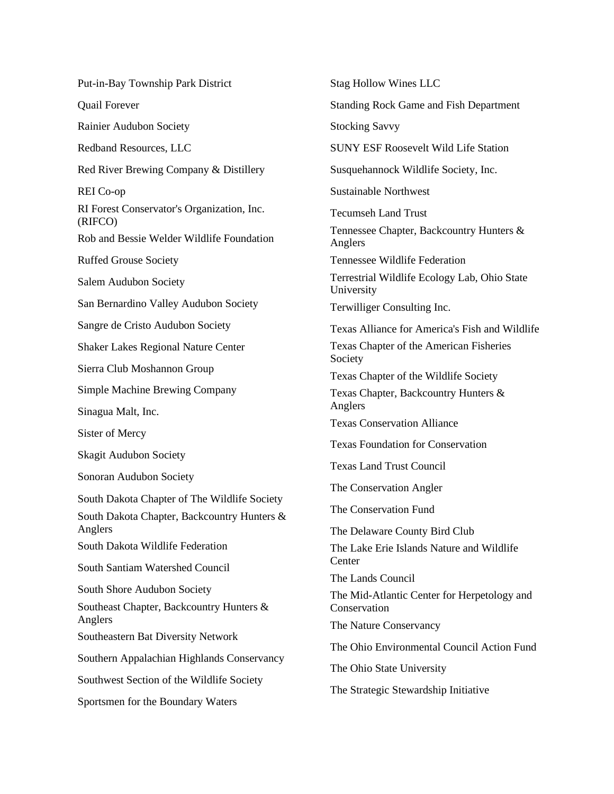Put-in-Bay Township Park District Quail Forever Rainier Audubon Society Redband Resources, LLC Red River Brewing Company & Distillery REI Co-op RI Forest Conservator's Organization, Inc. (RIFCO) Rob and Bessie Welder Wildlife Foundation Ruffed Grouse Society Salem Audubon Society San Bernardino Valley Audubon Society Sangre de Cristo Audubon Society Shaker Lakes Regional Nature Center Sierra Club Moshannon Group Simple Machine Brewing Company Sinagua Malt, Inc. Sister of Mercy Skagit Audubon Society Sonoran Audubon Society South Dakota Chapter of The Wildlife Society South Dakota Chapter, Backcountry Hunters & Anglers South Dakota Wildlife Federation South Santiam Watershed Council South Shore Audubon Society Southeast Chapter, Backcountry Hunters & Anglers Southeastern Bat Diversity Network Southern Appalachian Highlands Conservancy Southwest Section of the Wildlife Society Sportsmen for the Boundary Waters

Stag Hollow Wines LLC Standing Rock Game and Fish Department Stocking Savvy SUNY ESF Roosevelt Wild Life Station Susquehannock Wildlife Society, Inc. Sustainable Northwest Tecumseh Land Trust Tennessee Chapter, Backcountry Hunters & Anglers Tennessee Wildlife Federation Terrestrial Wildlife Ecology Lab, Ohio State University Terwilliger Consulting Inc. Texas Alliance for America's Fish and Wildlife Texas Chapter of the American Fisheries Society Texas Chapter of the Wildlife Society Texas Chapter, Backcountry Hunters & Anglers Texas Conservation Alliance Texas Foundation for Conservation Texas Land Trust Council The Conservation Angler The Conservation Fund The Delaware County Bird Club The Lake Erie Islands Nature and Wildlife **Center** The Lands Council The Mid-Atlantic Center for Herpetology and Conservation The Nature Conservancy The Ohio Environmental Council Action Fund The Ohio State University The Strategic Stewardship Initiative